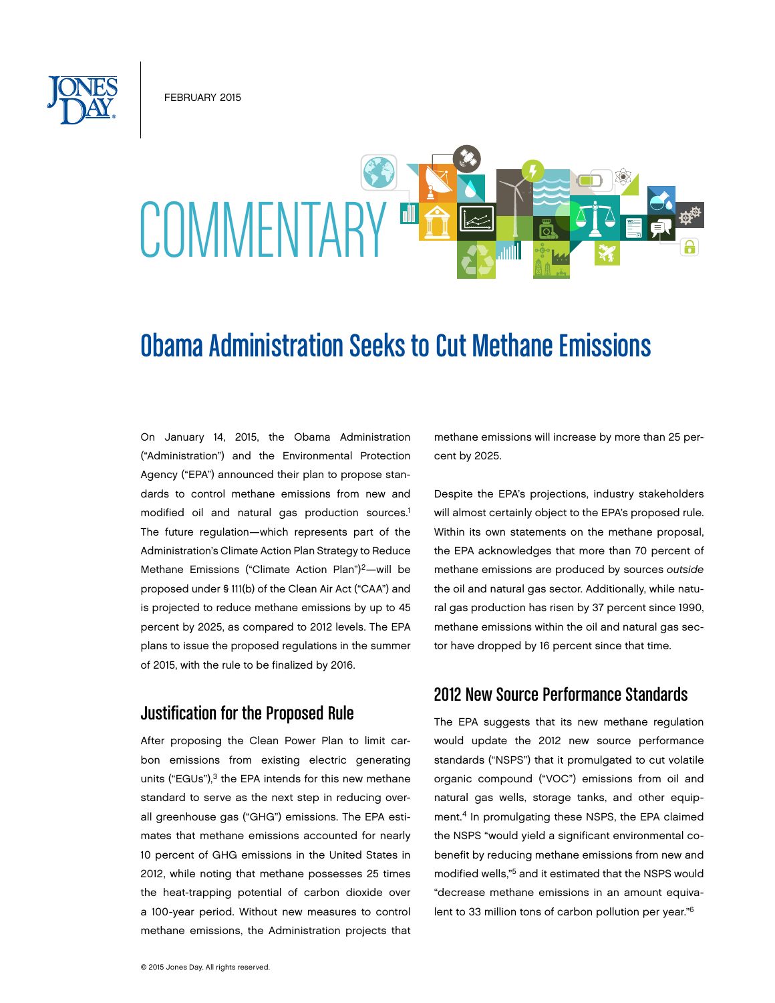February 2015



# Obama Administration Seeks to Cut Methane Emissions

On January 14, 2015, the Obama Administration ("Administration") and the Environmental Protection Agency ("EPA") announced their plan to propose standards to control methane emissions from new and modified oil and natural gas production sources.<sup>1</sup> The future regulation—which represents part of the Administration's Climate Action Plan Strategy to Reduce Methane Emissions ("Climate Action Plan")<sup>2</sup>-will be proposed under § 111(b) of the Clean Air Act ("CAA") and is projected to reduce methane emissions by up to 45 percent by 2025, as compared to 2012 levels. The EPA plans to issue the proposed regulations in the summer of 2015, with the rule to be finalized by 2016.

## Justification for the Proposed Rule

After proposing the Clean Power Plan to limit carbon emissions from existing electric generating units ("EGUs"), $3$  the EPA intends for this new methane standard to serve as the next step in reducing overall greenhouse gas ("GHG") emissions. The EPA estimates that methane emissions accounted for nearly 10 percent of GHG emissions in the United States in 2012, while noting that methane possesses 25 times the heat-trapping potential of carbon dioxide over a 100-year period. Without new measures to control methane emissions, the Administration projects that methane emissions will increase by more than 25 percent by 2025.

Despite the EPA's projections, industry stakeholders will almost certainly object to the EPA's proposed rule. Within its own statements on the methane proposal, the EPA acknowledges that more than 70 percent of methane emissions are produced by sources *outside*  the oil and natural gas sector. Additionally, while natural gas production has risen by 37 percent since 1990, methane emissions within the oil and natural gas sector have dropped by 16 percent since that time.

## 2012 New Source Performance Standards

The EPA suggests that its new methane regulation would update the 2012 new source performance standards ("NSPS") that it promulgated to cut volatile organic compound ("VOC") emissions from oil and natural gas wells, storage tanks, and other equipment.4 In promulgating these NSPS, the EPA claimed the NSPS "would yield a significant environmental cobenefit by reducing methane emissions from new and modified wells,"5 and it estimated that the NSPS would "decrease methane emissions in an amount equivalent to 33 million tons of carbon pollution per year."6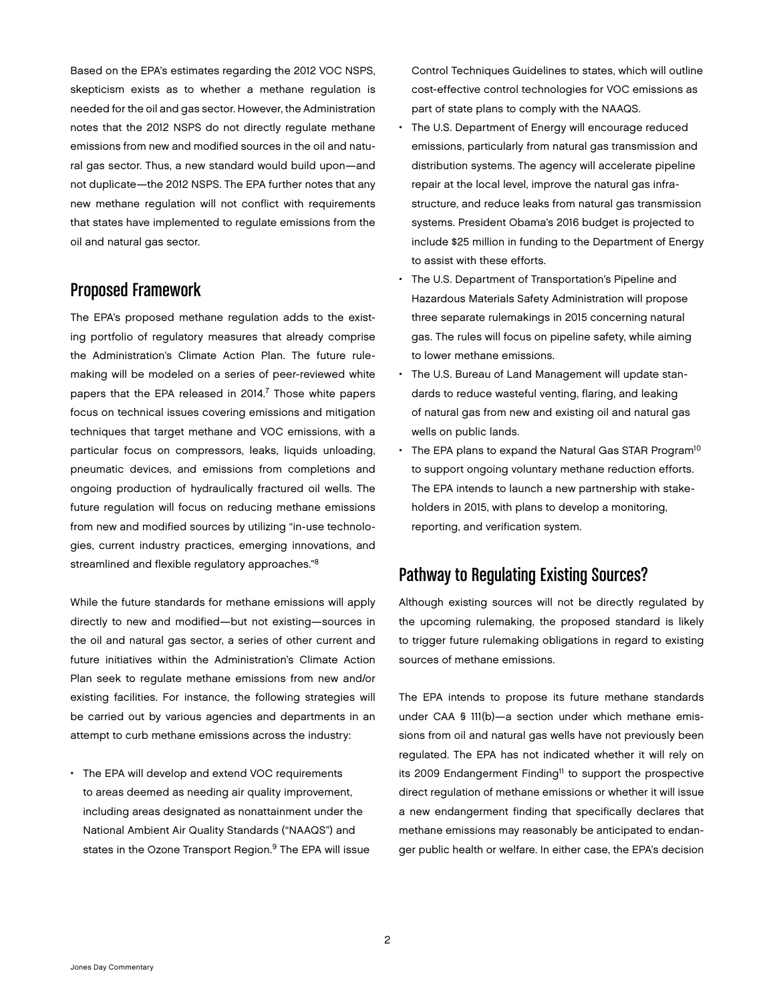Based on the EPA's estimates regarding the 2012 VOC NSPS, skepticism exists as to whether a methane regulation is needed for the oil and gas sector. However, the Administration notes that the 2012 NSPS do not directly regulate methane emissions from new and modified sources in the oil and natural gas sector. Thus, a new standard would build upon—and not duplicate—the 2012 NSPS. The EPA further notes that any new methane regulation will not conflict with requirements that states have implemented to regulate emissions from the oil and natural gas sector.

# Proposed Framework

The EPA's proposed methane regulation adds to the existing portfolio of regulatory measures that already comprise the Administration's Climate Action Plan. The future rulemaking will be modeled on a series of peer-reviewed white papers that the EPA released in 2014.<sup>7</sup> Those white papers focus on technical issues covering emissions and mitigation techniques that target methane and VOC emissions, with a particular focus on compressors, leaks, liquids unloading, pneumatic devices, and emissions from completions and ongoing production of hydraulically fractured oil wells. The future regulation will focus on reducing methane emissions from new and modified sources by utilizing "in-use technologies, current industry practices, emerging innovations, and streamlined and flexible regulatory approaches."8

While the future standards for methane emissions will apply directly to new and modified—but not existing—sources in the oil and natural gas sector, a series of other current and future initiatives within the Administration's Climate Action Plan seek to regulate methane emissions from new and/or existing facilities. For instance, the following strategies will be carried out by various agencies and departments in an attempt to curb methane emissions across the industry:

• The EPA will develop and extend VOC requirements to areas deemed as needing air quality improvement, including areas designated as nonattainment under the National Ambient Air Quality Standards ("NAAQS") and states in the Ozone Transport Region.<sup>9</sup> The EPA will issue Control Techniques Guidelines to states, which will outline cost-effective control technologies for VOC emissions as part of state plans to comply with the NAAQS.

- The U.S. Department of Energy will encourage reduced emissions, particularly from natural gas transmission and distribution systems. The agency will accelerate pipeline repair at the local level, improve the natural gas infrastructure, and reduce leaks from natural gas transmission systems. President Obama's 2016 budget is projected to include \$25 million in funding to the Department of Energy to assist with these efforts.
- The U.S. Department of Transportation's Pipeline and Hazardous Materials Safety Administration will propose three separate rulemakings in 2015 concerning natural gas. The rules will focus on pipeline safety, while aiming to lower methane emissions.
- The U.S. Bureau of Land Management will update standards to reduce wasteful venting, flaring, and leaking of natural gas from new and existing oil and natural gas wells on public lands.
- $\cdot$  The EPA plans to expand the Natural Gas STAR Program<sup>10</sup> to support ongoing voluntary methane reduction efforts. The EPA intends to launch a new partnership with stakeholders in 2015, with plans to develop a monitoring, reporting, and verification system.

# Pathway to Regulating Existing Sources?

Although existing sources will not be directly regulated by the upcoming rulemaking, the proposed standard is likely to trigger future rulemaking obligations in regard to existing sources of methane emissions.

The EPA intends to propose its future methane standards under CAA § 111(b)—a section under which methane emissions from oil and natural gas wells have not previously been regulated. The EPA has not indicated whether it will rely on its 2009 Endangerment Finding<sup>11</sup> to support the prospective direct regulation of methane emissions or whether it will issue a new endangerment finding that specifically declares that methane emissions may reasonably be anticipated to endanger public health or welfare. In either case, the EPA's decision